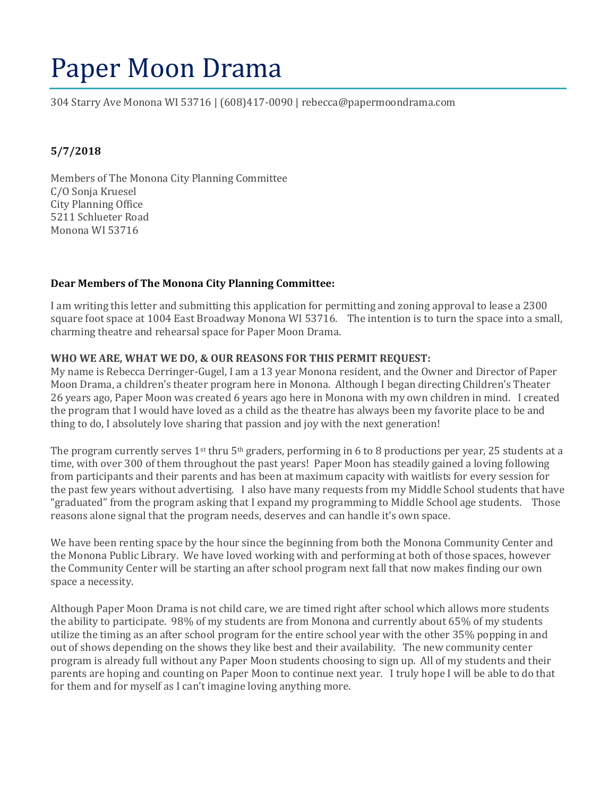# Paper Moon Drama

304 Starry Ave Monona WI 53716 | (608)417-0090 | rebecca@papermoondrama.com

# **5/7/2018**

Members of The Monona City Planning Committee C/O Sonja Kruesel City Planning Office 5211 Schlueter Road Monona WI 53716

### **Dear Members of The Monona City Planning Committee:**

I am writing this letter and submitting this application for permitting and zoning approval to lease a 2300 square foot space at 1004 East Broadway Monona WI 53716. The intention is to turn the space into a small, charming theatre and rehearsal space for Paper Moon Drama.

### **WHO WE ARE, WHAT WE DO, & OUR REASONS FOR THIS PERMIT REQUEST:**

My name is Rebecca Derringer-Gugel, I am a 13 year Monona resident, and the Owner and Director of Paper Moon Drama, a children's theater program here in Monona. Although I began directing Children's Theater 26 years ago, Paper Moon was created 6 years ago here in Monona with my own children in mind. I created the program that I would have loved as a child as the theatre has always been my favorite place to be and thing to do, I absolutely love sharing that passion and joy with the next generation!

The program currently serves 1<sup>st</sup> thru 5<sup>th</sup> graders, performing in 6 to 8 productions per year, 25 students at a time, with over 300 of them throughout the past years! Paper Moon has steadily gained a loving following from participants and their parents and has been at maximum capacity with waitlists for every session for the past few years without advertising. I also have many requests from my Middle School students that have "graduated" from the program asking that I expand my programming to Middle School age students. Those reasons alone signal that the program needs, deserves and can handle it's own space.

We have been renting space by the hour since the beginning from both the Monona Community Center and the Monona Public Library. We have loved working with and performing at both of those spaces, however the Community Center will be starting an after school program next fall that now makes finding our own space a necessity.

Although Paper Moon Drama is not child care, we are timed right after school which allows more students the ability to participate. 98% of my students are from Monona and currently about 65% of my students utilize the timing as an after school program for the entire school year with the other 35% popping in and out of shows depending on the shows they like best and their availability. The new community center program is already full without any Paper Moon students choosing to sign up. All of my students and their parents are hoping and counting on Paper Moon to continue next year. I truly hope I will be able to do that for them and for myself as I can't imagine loving anything more.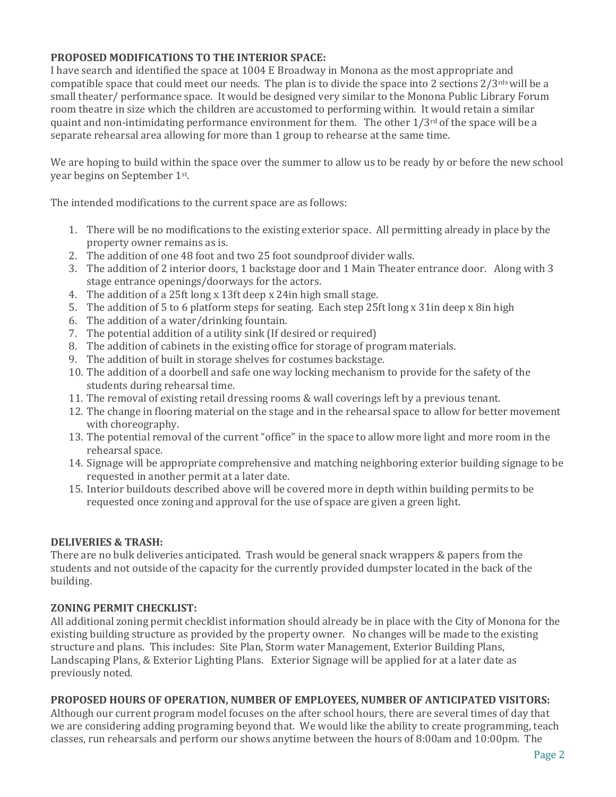# **PROPOSED MODIFICATIONS TO THE INTERIOR SPACE:**

I have search and identified the space at 1004 E Broadway in Monona as the most appropriate and compatible space that could meet our needs. The plan is to divide the space into 2 sections  $2/3^{rds}$  will be a small theater/ performance space. It would be designed very similar to the Monona Public Library Forum room theatre in size which the children are accustomed to performing within. It would retain a similar quaint and non-intimidating performance environment for them. The other  $1/3^{rd}$  of the space will be a separate rehearsal area allowing for more than 1 group to rehearse at the same time.

We are hoping to build within the space over the summer to allow us to be ready by or before the new school year begins on September 1st .

The intended modifications to the current space are as follows:

- 1. There will be no modifications to the existing exterior space. All permitting already in place by the property owner remains as is.
- 2. The addition of one 48 foot and two 25 foot soundproof divider walls.
- 3. The addition of 2 interior doors, 1 backstage door and 1 Main Theater entrance door. Along with 3 stage entrance openings/doorways for the actors.
- 4. The addition of a 25ft long x 13ft deep x 24in high small stage.
- 5. The addition of 5 to 6 platform steps for seating. Each step 25ft long x 31in deep x 8in high
- 6. The addition of a water/drinking fountain.
- 7. The potential addition of a utility sink (If desired or required)
- 8. The addition of cabinets in the existing office for storage of program materials.
- 9. The addition of built in storage shelves for costumes backstage.
- 10. The addition of a doorbell and safe one way locking mechanism to provide for the safety of the students during rehearsal time.
- 11. The removal of existing retail dressing rooms & wall coverings left by a previous tenant.
- 12. The change in flooring material on the stage and in the rehearsal space to allow for better movement with choreography.
- 13. The potential removal of the current "office" in the space to allow more light and more room in the rehearsal space.
- 14. Signage will be appropriate comprehensive and matching neighboring exterior building signage to be requested in another permit at a later date.
- 15. Interior buildouts described above will be covered more in depth within building permits to be requested once zoning and approval for the use of space are given a green light.

# **DELIVERIES & TRASH:**

There are no bulk deliveries anticipated. Trash would be general snack wrappers & papers from the students and not outside of the capacity for the currently provided dumpster located in the back of the building.

# **ZONING PERMIT CHECKLIST:**

All additional zoning permit checklist information should already be in place with the City of Monona for the existing building structure as provided by the property owner. No changes will be made to the existing structure and plans. This includes: Site Plan, Storm water Management, Exterior Building Plans, Landscaping Plans, & Exterior Lighting Plans. Exterior Signage will be applied for at a later date as previously noted.

# **PROPOSED HOURS OF OPERATION, NUMBER OF EMPLOYEES, NUMBER OF ANTICIPATED VISITORS:**

Although our current program model focuses on the after school hours, there are several times of day that we are considering adding programing beyond that. We would like the ability to create programming, teach classes, run rehearsals and perform our shows anytime between the hours of 8:00am and 10:00pm. The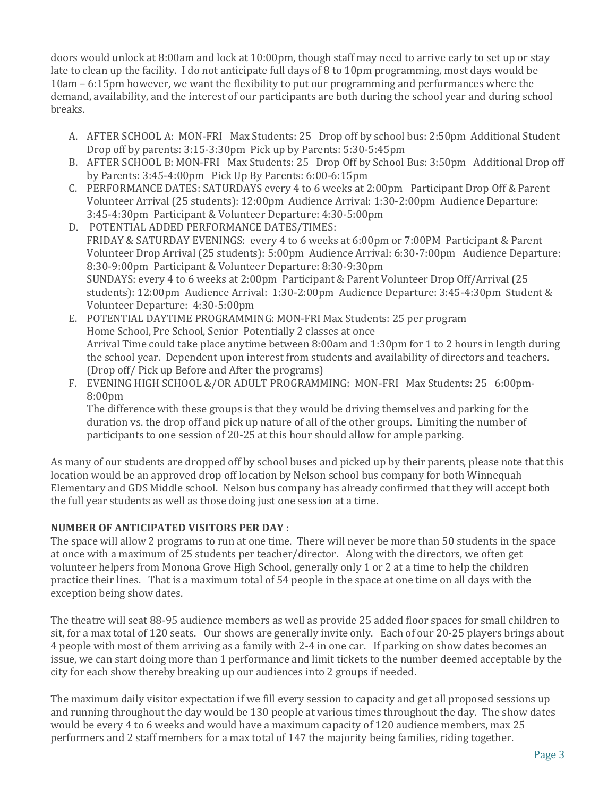doors would unlock at 8:00am and lock at 10:00pm, though staff may need to arrive early to set up or stay late to clean up the facility. I do not anticipate full days of 8 to 10pm programming, most days would be 10am – 6:15pm however, we want the flexibility to put our programming and performances where the demand, availability, and the interest of our participants are both during the school year and during school breaks.

- A. AFTER SCHOOL A: MON-FRI Max Students: 25 Drop off by school bus: 2:50pm Additional Student Drop off by parents: 3:15-3:30pm Pick up by Parents: 5:30-5:45pm
- B. AFTER SCHOOL B: MON-FRI Max Students: 25 Drop Off by School Bus: 3:50pm Additional Drop off by Parents: 3:45-4:00pm Pick Up By Parents: 6:00-6:15pm
- C. PERFORMANCE DATES: SATURDAYS every 4 to 6 weeks at 2:00pm Participant Drop Off & Parent Volunteer Arrival (25 students): 12:00pm Audience Arrival: 1:30-2:00pm Audience Departure: 3:45-4:30pm Participant & Volunteer Departure: 4:30-5:00pm
- D. POTENTIAL ADDED PERFORMANCE DATES/TIMES: FRIDAY & SATURDAY EVENINGS: every 4 to 6 weeks at 6:00pm or 7:00PM Participant & Parent Volunteer Drop Arrival (25 students): 5:00pm Audience Arrival: 6:30-7:00pm Audience Departure: 8:30-9:00pm Participant & Volunteer Departure: 8:30-9:30pm SUNDAYS: every 4 to 6 weeks at 2:00pm Participant & Parent Volunteer Drop Off/Arrival (25 students): 12:00pm Audience Arrival: 1:30-2:00pm Audience Departure: 3:45-4:30pm Student & Volunteer Departure: 4:30-5:00pm
- E. POTENTIAL DAYTIME PROGRAMMING: MON-FRI Max Students: 25 per program Home School, Pre School, Senior Potentially 2 classes at once Arrival Time could take place anytime between 8:00am and 1:30pm for 1 to 2 hours in length during the school year. Dependent upon interest from students and availability of directors and teachers. (Drop off/ Pick up Before and After the programs)
- F. EVENING HIGH SCHOOL &/OR ADULT PROGRAMMING: MON-FRI Max Students: 25 6:00pm-8:00pm

The difference with these groups is that they would be driving themselves and parking for the duration vs. the drop off and pick up nature of all of the other groups. Limiting the number of participants to one session of 20-25 at this hour should allow for ample parking.

As many of our students are dropped off by school buses and picked up by their parents, please note that this location would be an approved drop off location by Nelson school bus company for both Winnequah Elementary and GDS Middle school. Nelson bus company has already confirmed that they will accept both the full year students as well as those doing just one session at a time.

# **NUMBER OF ANTICIPATED VISITORS PER DAY :**

The space will allow 2 programs to run at one time. There will never be more than 50 students in the space at once with a maximum of 25 students per teacher/director. Along with the directors, we often get volunteer helpers from Monona Grove High School, generally only 1 or 2 at a time to help the children practice their lines. That is a maximum total of 54 people in the space at one time on all days with the exception being show dates.

The theatre will seat 88-95 audience members as well as provide 25 added floor spaces for small children to sit, for a max total of 120 seats. Our shows are generally invite only. Each of our 20-25 players brings about 4 people with most of them arriving as a family with 2-4 in one car. If parking on show dates becomes an issue, we can start doing more than 1 performance and limit tickets to the number deemed acceptable by the city for each show thereby breaking up our audiences into 2 groups if needed.

The maximum daily visitor expectation if we fill every session to capacity and get all proposed sessions up and running throughout the day would be 130 people at various times throughout the day. The show dates would be every 4 to 6 weeks and would have a maximum capacity of 120 audience members, max 25 performers and 2 staff members for a max total of 147 the majority being families, riding together.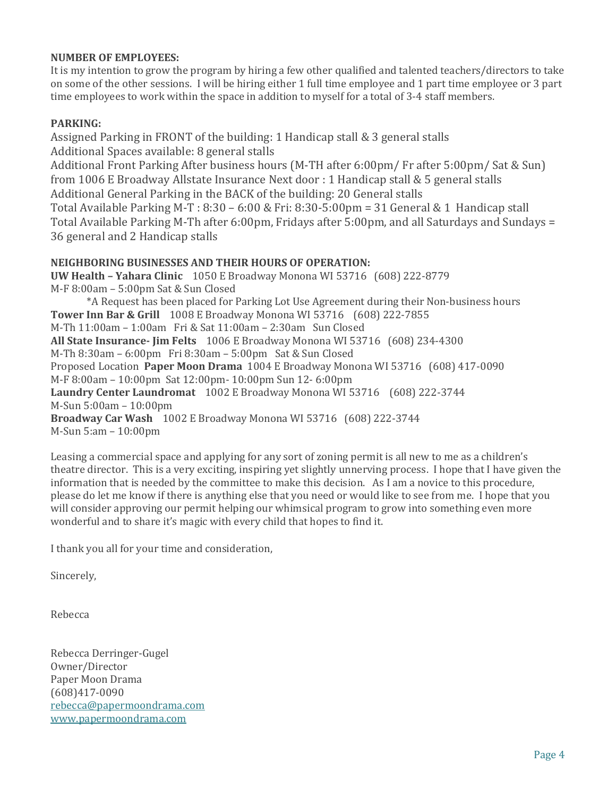## **NUMBER OF EMPLOYEES:**

It is my intention to grow the program by hiring a few other qualified and talented teachers/directors to take on some of the other sessions. I will be hiring either 1 full time employee and 1 part time employee or 3 part time employees to work within the space in addition to myself for a total of 3-4 staff members.

# **PARKING:**

Assigned Parking in FRONT of the building: 1 Handicap stall & 3 general stalls Additional Spaces available: 8 general stalls Additional Front Parking After business hours (M-TH after 6:00pm/ Fr after 5:00pm/ Sat & Sun) from 1006 E Broadway Allstate Insurance Next door : 1 Handicap stall & 5 general stalls Additional General Parking in the BACK of the building: 20 General stalls Total Available Parking M-T : 8:30 – 6:00 & Fri: 8:30-5:00pm = 31 General & 1 Handicap stall Total Available Parking M-Th after 6:00pm, Fridays after 5:00pm, and all Saturdays and Sundays = 36 general and 2 Handicap stalls **NEIGHBORING BUSINESSES AND THEIR HOURS OF OPERATION: UW Health – Yahara Clinic** 1050 E Broadway Monona WI 53716 (608) 222-8779

M-F 8:00am – 5:00pm Sat & Sun Closed \*A Request has been placed for Parking Lot Use Agreement during their Non-business hours **Tower Inn Bar & Grill** 1008 E Broadway Monona WI 53716 (608) 222-7855 M-Th 11:00am – 1:00am Fri & Sat 11:00am – 2:30am Sun Closed **All State Insurance- Jim Felts** 1006 E Broadway Monona WI 53716 (608) 234-4300 M-Th 8:30am – 6:00pm Fri 8:30am – 5:00pm Sat & Sun Closed Proposed Location **Paper Moon Drama** 1004 E Broadway Monona WI 53716 (608) 417-0090 M-F 8:00am – 10:00pm Sat 12:00pm- 10:00pm Sun 12- 6:00pm **Laundry Center Laundromat** 1002 E Broadway Monona WI 53716 (608) 222-3744 M-Sun 5:00am – 10:00pm **Broadway Car Wash** 1002 E Broadway Monona WI 53716 (608) 222-3744 M-Sun 5:am – 10:00pm

Leasing a commercial space and applying for any sort of zoning permit is all new to me as a children's theatre director. This is a very exciting, inspiring yet slightly unnerving process. I hope that I have given the information that is needed by the committee to make this decision. As I am a novice to this procedure, please do let me know if there is anything else that you need or would like to see from me. I hope that you will consider approving our permit helping our whimsical program to grow into something even more wonderful and to share it's magic with every child that hopes to find it.

I thank you all for your time and consideration,

Sincerely,

Rebecca

Rebecca Derringer-Gugel Owner/Director Paper Moon Drama (608)417-0090 [rebecca@papermoondrama.com](mailto:rebecca@papermoondrama.com) [www.papermoondrama.com](http://www.papermoondrama.com/)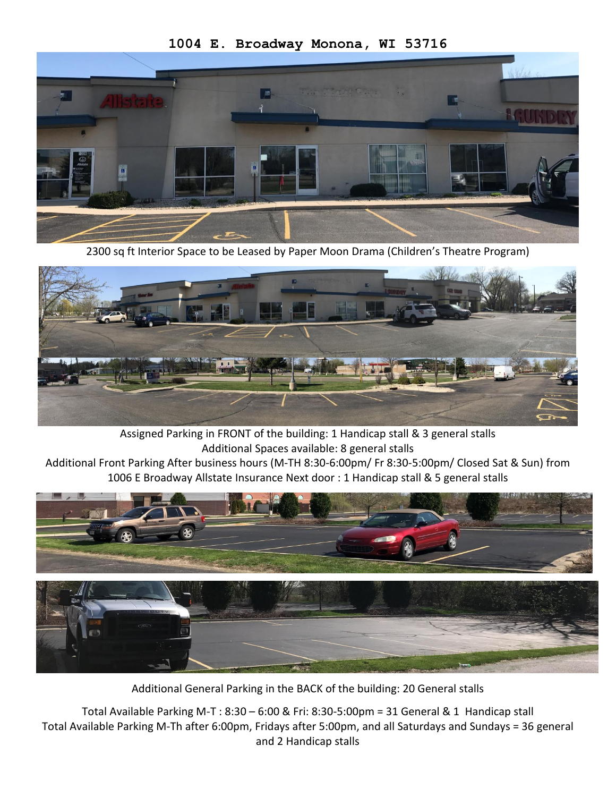

2300 sq ft Interior Space to be Leased by Paper Moon Drama (Children's Theatre Program)



Assigned Parking in FRONT of the building: 1 Handicap stall & 3 general stalls Additional Spaces available: 8 general stalls

Additional Front Parking After business hours (M-TH 8:30-6:00pm/ Fr 8:30-5:00pm/ Closed Sat & Sun) from 1006 E Broadway Allstate Insurance Next door : 1 Handicap stall & 5 general stalls



Additional General Parking in the BACK of the building: 20 General stalls

Total Available Parking M-T : 8:30 – 6:00 & Fri: 8:30-5:00pm = 31 General & 1 Handicap stall Total Available Parking M-Th after 6:00pm, Fridays after 5:00pm, and all Saturdays and Sundays = 36 general and 2 Handicap stalls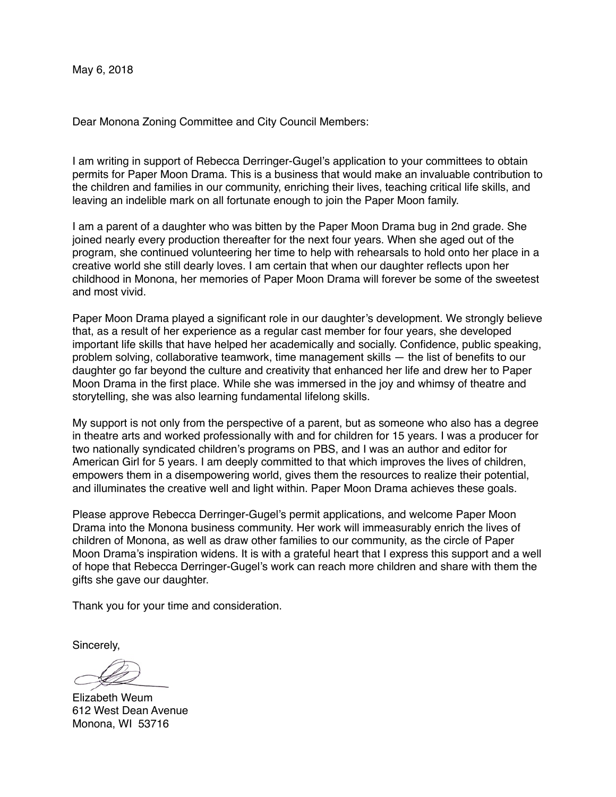Dear Monona Zoning Committee and City Council Members:

I am writing in support of Rebecca Derringer-Gugel's application to your committees to obtain permits for Paper Moon Drama. This is a business that would make an invaluable contribution to the children and families in our community, enriching their lives, teaching critical life skills, and leaving an indelible mark on all fortunate enough to join the Paper Moon family.

I am a parent of a daughter who was bitten by the Paper Moon Drama bug in 2nd grade. She joined nearly every production thereafter for the next four years. When she aged out of the program, she continued volunteering her time to help with rehearsals to hold onto her place in a creative world she still dearly loves. I am certain that when our daughter reflects upon her childhood in Monona, her memories of Paper Moon Drama will forever be some of the sweetest and most vivid.

Paper Moon Drama played a significant role in our daughter's development. We strongly believe that, as a result of her experience as a regular cast member for four years, she developed important life skills that have helped her academically and socially. Confidence, public speaking, problem solving, collaborative teamwork, time management skills — the list of benefits to our daughter go far beyond the culture and creativity that enhanced her life and drew her to Paper Moon Drama in the first place. While she was immersed in the joy and whimsy of theatre and storytelling, she was also learning fundamental lifelong skills.

My support is not only from the perspective of a parent, but as someone who also has a degree in theatre arts and worked professionally with and for children for 15 years. I was a producer for two nationally syndicated children's programs on PBS, and I was an author and editor for American Girl for 5 years. I am deeply committed to that which improves the lives of children, empowers them in a disempowering world, gives them the resources to realize their potential, and illuminates the creative well and light within. Paper Moon Drama achieves these goals.

Please approve Rebecca Derringer-Gugel's permit applications, and welcome Paper Moon Drama into the Monona business community. Her work will immeasurably enrich the lives of children of Monona, as well as draw other families to our community, as the circle of Paper Moon Drama's inspiration widens. It is with a grateful heart that I express this support and a well of hope that Rebecca Derringer-Gugel's work can reach more children and share with them the gifts she gave our daughter.

Thank you for your time and consideration.

Sincerely,

Elizabeth Weum 612 West Dean Avenue Monona, WI 53716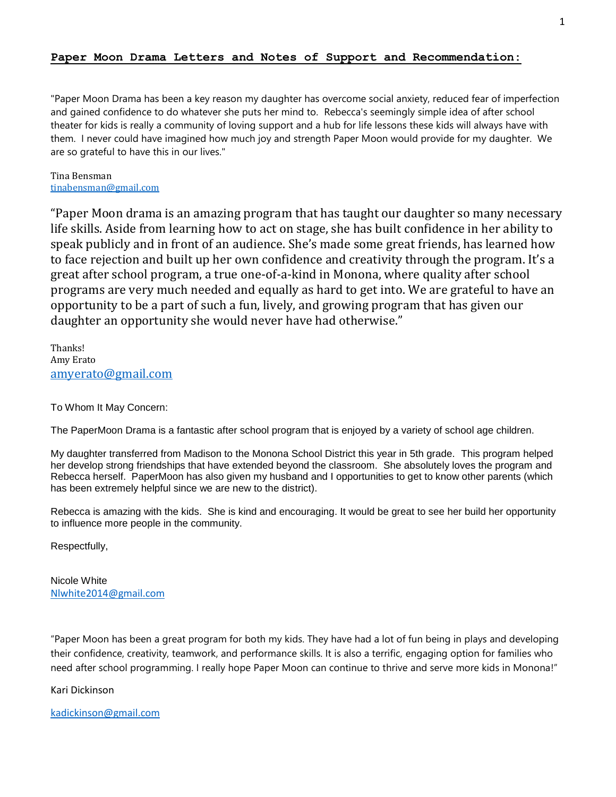#### **Paper Moon Drama Letters and Notes of Support and Recommendation:**

"Paper Moon Drama has been a key reason my daughter has overcome social anxiety, reduced fear of imperfection and gained confidence to do whatever she puts her mind to. Rebecca's seemingly simple idea of after school theater for kids is really a community of loving support and a hub for life lessons these kids will always have with them. I never could have imagined how much joy and strength Paper Moon would provide for my daughter. We are so grateful to have this in our lives."

Tina Bensman [tinabensman@gmail.com](mailto:tinabensman@gmail.com)

"Paper Moon drama is an amazing program that has taught our daughter so many necessary life skills. Aside from learning how to act on stage, she has built confidence in her ability to speak publicly and in front of an audience. She's made some great friends, has learned how to face rejection and built up her own confidence and creativity through the program. It's a great after school program, a true one-of-a-kind in Monona, where quality after school programs are very much needed and equally as hard to get into. We are grateful to have an opportunity to be a part of such a fun, lively, and growing program that has given our daughter an opportunity she would never have had otherwise."

Thanks! Amy Erato [amyerato@gmail.com](mailto:amyerato@gmail.com)

To Whom It May Concern:

The PaperMoon Drama is a fantastic after school program that is enjoyed by a variety of school age children.

My daughter transferred from Madison to the Monona School District this year in 5th grade. This program helped her develop strong friendships that have extended beyond the classroom. She absolutely loves the program and Rebecca herself. PaperMoon has also given my husband and I opportunities to get to know other parents (which has been extremely helpful since we are new to the district).

Rebecca is amazing with the kids. She is kind and encouraging. It would be great to see her build her opportunity to influence more people in the community.

Respectfully,

Nicole White [Nlwhite2014@gmail.com](mailto:Nlwhite2014@gmail.com)

"Paper Moon has been a great program for both my kids. They have had a lot of fun being in plays and developing their confidence, creativity, teamwork, and performance skills. It is also a terrific, engaging option for families who need after school programming. I really hope Paper Moon can continue to thrive and serve more kids in Monona!"

Kari Dickinson

[kadickinson@gmail.com](mailto:kadickinson@gmail.com)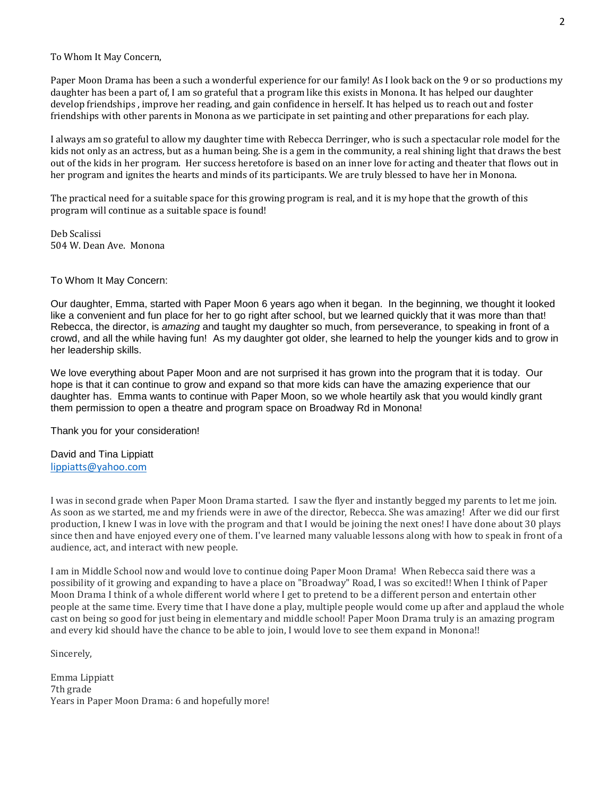To Whom It May Concern,

Paper Moon Drama has been a such a wonderful experience for our family! As I look back on the 9 or so productions my daughter has been a part of, I am so grateful that a program like this exists in Monona. It has helped our daughter develop friendships , improve her reading, and gain confidence in herself. It has helped us to reach out and foster friendships with other parents in Monona as we participate in set painting and other preparations for each play.

I always am so grateful to allow my daughter time with Rebecca Derringer, who is such a spectacular role model for the kids not only as an actress, but as a human being. She is a gem in the community, a real shining light that draws the best out of the kids in her program. Her success heretofore is based on an inner love for acting and theater that flows out in her program and ignites the hearts and minds of its participants. We are truly blessed to have her in Monona.

The practical need for a suitable space for this growing program is real, and it is my hope that the growth of this program will continue as a suitable space is found!

Deb Scalissi 504 W. Dean Ave. Monona

#### To Whom It May Concern:

Our daughter, Emma, started with Paper Moon 6 years ago when it began. In the beginning, we thought it looked like a convenient and fun place for her to go right after school, but we learned quickly that it was more than that! Rebecca, the director, is *amazing* and taught my daughter so much, from perseverance, to speaking in front of a crowd, and all the while having fun! As my daughter got older, she learned to help the younger kids and to grow in her leadership skills.

We love everything about Paper Moon and are not surprised it has grown into the program that it is today. Our hope is that it can continue to grow and expand so that more kids can have the amazing experience that our daughter has. Emma wants to continue with Paper Moon, so we whole heartily ask that you would kindly grant them permission to open a theatre and program space on Broadway Rd in Monona!

Thank you for your consideration!

David and Tina Lippiatt [lippiatts@yahoo.com](mailto:lippiatts@yahoo.com)

I was in second grade when Paper Moon Drama started. I saw the flyer and instantly begged my parents to let me join. As soon as we started, me and my friends were in awe of the director, Rebecca. She was amazing! After we did our first production, I knew I was in love with the program and that I would be joining the next ones! I have done about 30 plays since then and have enjoyed every one of them. I've learned many valuable lessons along with how to speak in front of a audience, act, and interact with new people.

I am in Middle School now and would love to continue doing Paper Moon Drama! When Rebecca said there was a possibility of it growing and expanding to have a place on "Broadway" Road, I was so excited!! When I think of Paper Moon Drama I think of a whole different world where I get to pretend to be a different person and entertain other people at the same time. Every time that I have done a play, multiple people would come up after and applaud the whole cast on being so good for just being in elementary and middle school! Paper Moon Drama truly is an amazing program and every kid should have the chance to be able to join, I would love to see them expand in Monona!!

Sincerely,

Emma Lippiatt 7th grade Years in Paper Moon Drama: 6 and hopefully more!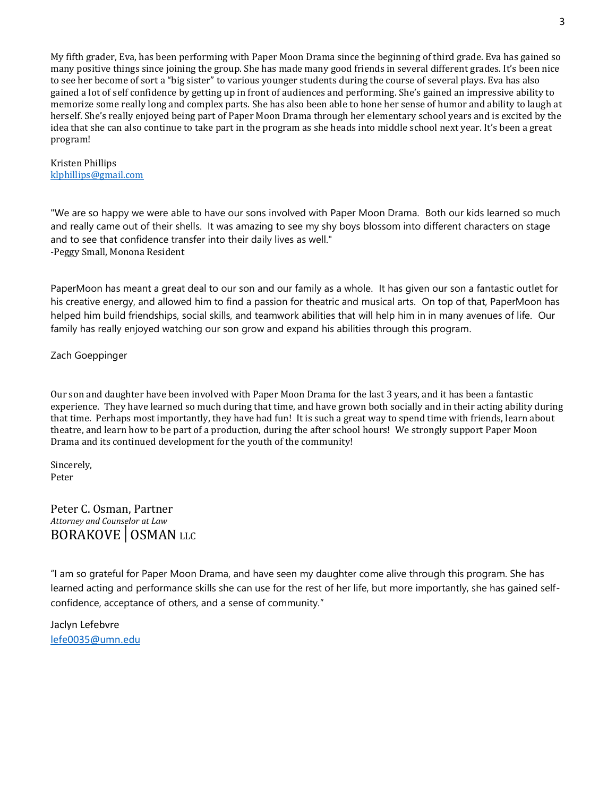My fifth grader, Eva, has been performing with Paper Moon Drama since the beginning of third grade. Eva has gained so many positive things since joining the group. She has made many good friends in several different grades. It's been nice to see her become of sort a "big sister" to various younger students during the course of several plays. Eva has also gained a lot of self confidence by getting up in front of audiences and performing. She's gained an impressive ability to memorize some really long and complex parts. She has also been able to hone her sense of humor and ability to laugh at herself. She's really enjoyed being part of Paper Moon Drama through her elementary school years and is excited by the idea that she can also continue to take part in the program as she heads into middle school next year. It's been a great program!

Kristen Phillips [klphillips@gmail.com](mailto:klphillips@gmail.com)

"We are so happy we were able to have our sons involved with Paper Moon Drama. Both our kids learned so much and really came out of their shells. It was amazing to see my shy boys blossom into different characters on stage and to see that confidence transfer into their daily lives as well." -Peggy Small, Monona Resident

PaperMoon has meant a great deal to our son and our family as a whole. It has given our son a fantastic outlet for his creative energy, and allowed him to find a passion for theatric and musical arts. On top of that, PaperMoon has helped him build friendships, social skills, and teamwork abilities that will help him in in many avenues of life. Our family has really enjoyed watching our son grow and expand his abilities through this program.

#### Zach Goeppinger

Our son and daughter have been involved with Paper Moon Drama for the last 3 years, and it has been a fantastic experience. They have learned so much during that time, and have grown both socially and in their acting ability during that time. Perhaps most importantly, they have had fun! It is such a great way to spend time with friends, learn about theatre, and learn how to be part of a production, during the after school hours! We strongly support Paper Moon Drama and its continued development for the youth of the community!

Sincerely, Peter

Peter C. Osman, Partner *Attorney and Counselor at Law*  BORAKOVE│OSMAN LLC

"I am so grateful for Paper Moon Drama, and have seen my daughter come alive through this program. She has learned acting and performance skills she can use for the rest of her life, but more importantly, she has gained selfconfidence, acceptance of others, and a sense of community."

Jaclyn Lefebvre [lefe0035@umn.edu](mailto:lefe0035@umn.edu)